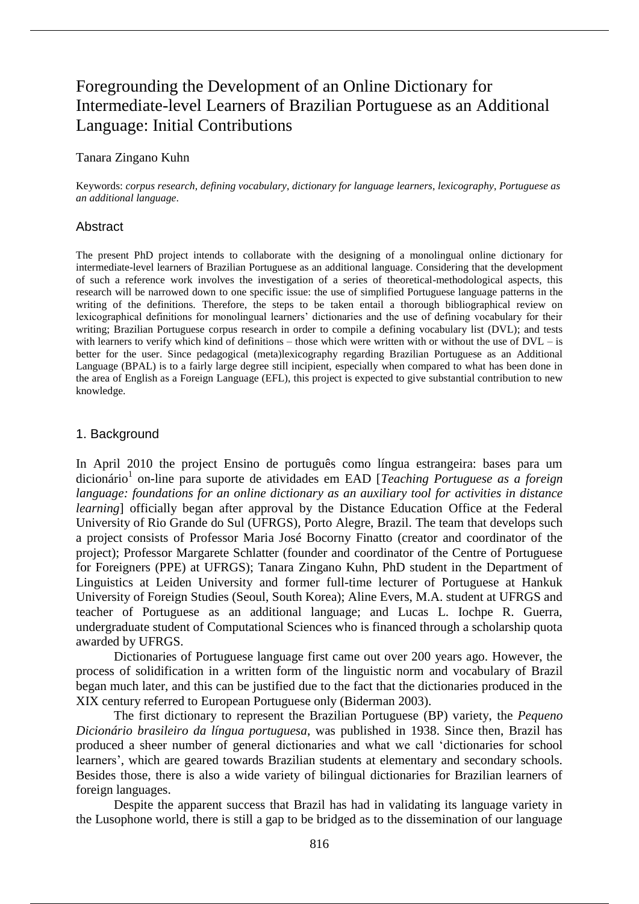# Foregrounding the Development of an Online Dictionary for Intermediate-level Learners of Brazilian Portuguese as an Additional Language: Initial Contributions

#### Tanara Zingano Kuhn

Keywords: *corpus research*, *defining vocabulary*, *dictionary for language learners*, *lexicography*, *Portuguese as an additional language*.

#### Abstract

The present PhD project intends to collaborate with the designing of a monolingual online dictionary for intermediate-level learners of Brazilian Portuguese as an additional language. Considering that the development of such a reference work involves the investigation of a series of theoretical-methodological aspects, this research will be narrowed down to one specific issue: the use of simplified Portuguese language patterns in the writing of the definitions. Therefore, the steps to be taken entail a thorough bibliographical review on lexicographical definitions for monolingual learners' dictionaries and the use of defining vocabulary for their writing; Brazilian Portuguese corpus research in order to compile a defining vocabulary list (DVL); and tests with learners to verify which kind of definitions – those which were written with or without the use of  $DVL - is$ better for the user. Since pedagogical (meta)lexicography regarding Brazilian Portuguese as an Additional Language (BPAL) is to a fairly large degree still incipient, especially when compared to what has been done in the area of English as a Foreign Language (EFL), this project is expected to give substantial contribution to new knowledge.

# 1. Background

In April 2010 the project Ensino de português como língua estrangeira: bases para um dicionário<sup>1</sup> on-line para suporte de atividades em EAD [*Teaching Portuguese as a foreign language: foundations for an online dictionary as an auxiliary tool for activities in distance learning* officially began after approval by the Distance Education Office at the Federal University of Rio Grande do Sul (UFRGS), Porto Alegre, Brazil. The team that develops such a project consists of Professor Maria José Bocorny Finatto (creator and coordinator of the project); Professor Margarete Schlatter (founder and coordinator of the Centre of Portuguese for Foreigners (PPE) at UFRGS); Tanara Zingano Kuhn, PhD student in the Department of Linguistics at Leiden University and former full-time lecturer of Portuguese at Hankuk University of Foreign Studies (Seoul, South Korea); Aline Evers, M.A. student at UFRGS and teacher of Portuguese as an additional language; and Lucas L. Iochpe R. Guerra, undergraduate student of Computational Sciences who is financed through a scholarship quota awarded by UFRGS.

Dictionaries of Portuguese language first came out over 200 years ago. However, the process of solidification in a written form of the linguistic norm and vocabulary of Brazil began much later, and this can be justified due to the fact that the dictionaries produced in the XIX century referred to European Portuguese only (Biderman 2003).

The first dictionary to represent the Brazilian Portuguese (BP) variety, the *Pequeno Dicionário brasileiro da língua portuguesa*, was published in 1938. Since then, Brazil has produced a sheer number of general dictionaries and what we call 'dictionaries for school learners', which are geared towards Brazilian students at elementary and secondary schools. Besides those, there is also a wide variety of bilingual dictionaries for Brazilian learners of foreign languages.

Despite the apparent success that Brazil has had in validating its language variety in the Lusophone world, there is still a gap to be bridged as to the dissemination of our language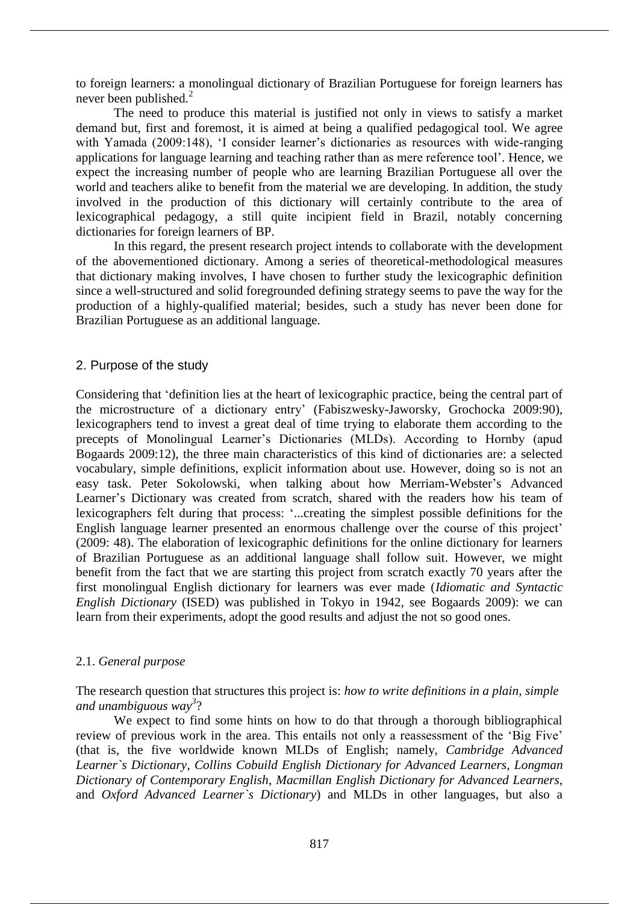to foreign learners: a monolingual dictionary of Brazilian Portuguese for foreign learners has never been published.<sup>2</sup>

The need to produce this material is justified not only in views to satisfy a market demand but, first and foremost, it is aimed at being a qualified pedagogical tool. We agree with Yamada (2009:148), 'I consider learner's dictionaries as resources with wide-ranging applications for language learning and teaching rather than as mere reference tool'. Hence, we expect the increasing number of people who are learning Brazilian Portuguese all over the world and teachers alike to benefit from the material we are developing. In addition, the study involved in the production of this dictionary will certainly contribute to the area of lexicographical pedagogy, a still quite incipient field in Brazil, notably concerning dictionaries for foreign learners of BP.

In this regard, the present research project intends to collaborate with the development of the abovementioned dictionary. Among a series of theoretical-methodological measures that dictionary making involves, I have chosen to further study the lexicographic definition since a well-structured and solid foregrounded defining strategy seems to pave the way for the production of a highly-qualified material; besides, such a study has never been done for Brazilian Portuguese as an additional language.

# 2. Purpose of the study

Considering that 'definition lies at the heart of lexicographic practice, being the central part of the microstructure of a dictionary entry' (Fabiszwesky-Jaworsky, Grochocka 2009:90), lexicographers tend to invest a great deal of time trying to elaborate them according to the precepts of Monolingual Learner's Dictionaries (MLDs). According to Hornby (apud Bogaards 2009:12), the three main characteristics of this kind of dictionaries are: a selected vocabulary, simple definitions, explicit information about use. However, doing so is not an easy task. Peter Sokolowski, when talking about how Merriam-Webster's Advanced Learner's Dictionary was created from scratch, shared with the readers how his team of lexicographers felt during that process: '...creating the simplest possible definitions for the English language learner presented an enormous challenge over the course of this project' (2009: 48). The elaboration of lexicographic definitions for the online dictionary for learners of Brazilian Portuguese as an additional language shall follow suit. However, we might benefit from the fact that we are starting this project from scratch exactly 70 years after the first monolingual English dictionary for learners was ever made (*Idiomatic and Syntactic English Dictionary* (ISED) was published in Tokyo in 1942, see Bogaards 2009): we can learn from their experiments, adopt the good results and adjust the not so good ones.

## 2.1. *General purpose*

The research question that structures this project is: *how to write definitions in a plain, simple and unambiguous way 3* ?

We expect to find some hints on how to do that through a thorough bibliographical review of previous work in the area. This entails not only a reassessment of the 'Big Five' (that is, the five worldwide known MLDs of English; namely, *Cambridge Advanced Learner`s Dictionary*, *Collins Cobuild English Dictionary for Advanced Learners*, *Longman Dictionary of Contemporary English*, *Macmillan English Dictionary for Advanced Learners*, and *Oxford Advanced Learner`s Dictionary*) and MLDs in other languages, but also a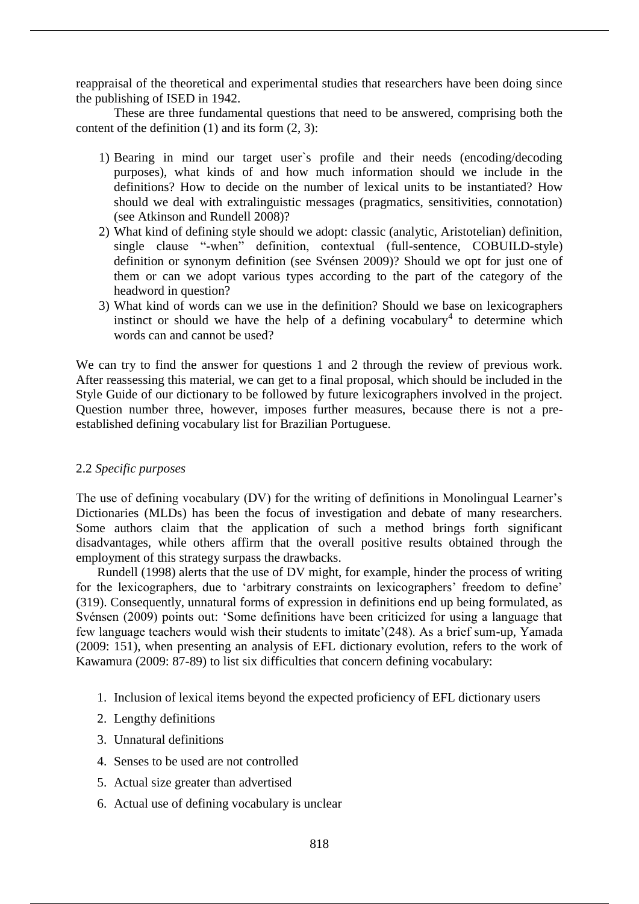reappraisal of the theoretical and experimental studies that researchers have been doing since the publishing of ISED in 1942.

These are three fundamental questions that need to be answered, comprising both the content of the definition  $(1)$  and its form  $(2, 3)$ :

- 1) Bearing in mind our target user`s profile and their needs (encoding/decoding purposes), what kinds of and how much information should we include in the definitions? How to decide on the number of lexical units to be instantiated? How should we deal with extralinguistic messages (pragmatics, sensitivities, connotation) (see Atkinson and Rundell 2008)?
- 2) What kind of defining style should we adopt: classic (analytic, Aristotelian) definition, single clause "-when" definition, contextual (full-sentence, COBUILD-style) definition or synonym definition (see Svénsen 2009)? Should we opt for just one of them or can we adopt various types according to the part of the category of the headword in question?
- 3) What kind of words can we use in the definition? Should we base on lexicographers instinct or should we have the help of a defining vocabulary<sup>4</sup> to determine which words can and cannot be used?

We can try to find the answer for questions 1 and 2 through the review of previous work. After reassessing this material, we can get to a final proposal, which should be included in the Style Guide of our dictionary to be followed by future lexicographers involved in the project. Question number three, however, imposes further measures, because there is not a preestablished defining vocabulary list for Brazilian Portuguese.

## 2.2 *Specific purposes*

The use of defining vocabulary (DV) for the writing of definitions in Monolingual Learner's Dictionaries (MLDs) has been the focus of investigation and debate of many researchers. Some authors claim that the application of such a method brings forth significant disadvantages, while others affirm that the overall positive results obtained through the employment of this strategy surpass the drawbacks.

Rundell (1998) alerts that the use of DV might, for example, hinder the process of writing for the lexicographers, due to 'arbitrary constraints on lexicographers' freedom to define' (319). Consequently, unnatural forms of expression in definitions end up being formulated, as Svénsen (2009) points out: 'Some definitions have been criticized for using a language that few language teachers would wish their students to imitate'(248). As a brief sum-up, Yamada (2009: 151), when presenting an analysis of EFL dictionary evolution, refers to the work of Kawamura (2009: 87-89) to list six difficulties that concern defining vocabulary:

- 1. Inclusion of lexical items beyond the expected proficiency of EFL dictionary users
- 2. Lengthy definitions
- 3. Unnatural definitions
- 4. Senses to be used are not controlled
- 5. Actual size greater than advertised
- 6. Actual use of defining vocabulary is unclear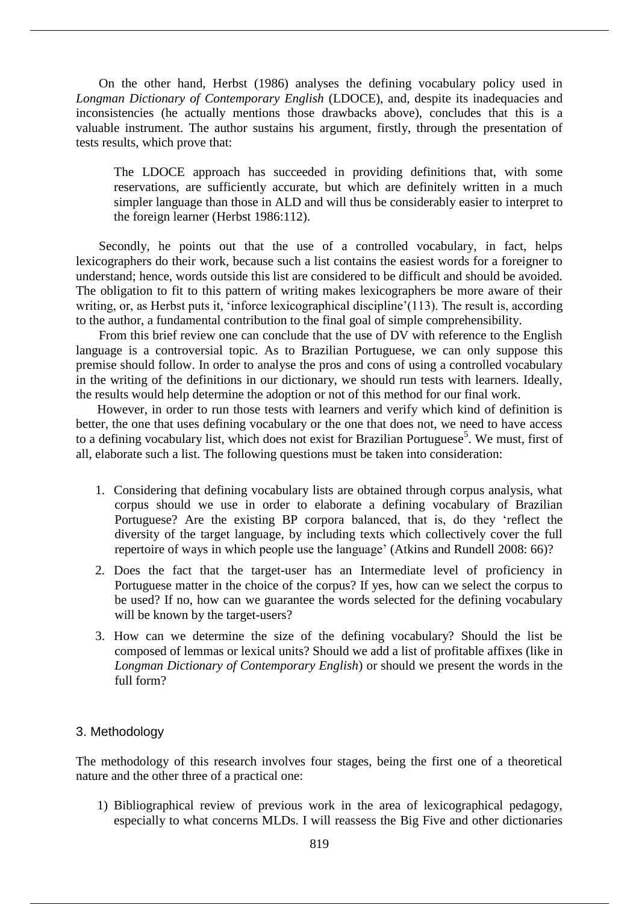On the other hand, Herbst (1986) analyses the defining vocabulary policy used in *Longman Dictionary of Contemporary English* (LDOCE), and, despite its inadequacies and inconsistencies (he actually mentions those drawbacks above), concludes that this is a valuable instrument. The author sustains his argument, firstly, through the presentation of tests results, which prove that:

The LDOCE approach has succeeded in providing definitions that, with some reservations, are sufficiently accurate, but which are definitely written in a much simpler language than those in ALD and will thus be considerably easier to interpret to the foreign learner (Herbst 1986:112).

Secondly, he points out that the use of a controlled vocabulary, in fact, helps lexicographers do their work, because such a list contains the easiest words for a foreigner to understand; hence, words outside this list are considered to be difficult and should be avoided. The obligation to fit to this pattern of writing makes lexicographers be more aware of their writing, or, as Herbst puts it, 'inforce lexicographical discipline'(113). The result is, according to the author, a fundamental contribution to the final goal of simple comprehensibility.

From this brief review one can conclude that the use of DV with reference to the English language is a controversial topic. As to Brazilian Portuguese, we can only suppose this premise should follow. In order to analyse the pros and cons of using a controlled vocabulary in the writing of the definitions in our dictionary, we should run tests with learners. Ideally, the results would help determine the adoption or not of this method for our final work.

However, in order to run those tests with learners and verify which kind of definition is better, the one that uses defining vocabulary or the one that does not, we need to have access to a defining vocabulary list, which does not exist for Brazilian Portuguese<sup>5</sup>. We must, first of all, elaborate such a list. The following questions must be taken into consideration:

- 1. Considering that defining vocabulary lists are obtained through corpus analysis, what corpus should we use in order to elaborate a defining vocabulary of Brazilian Portuguese? Are the existing BP corpora balanced, that is, do they 'reflect the diversity of the target language, by including texts which collectively cover the full repertoire of ways in which people use the language' (Atkins and Rundell 2008: 66)?
- 2. Does the fact that the target-user has an Intermediate level of proficiency in Portuguese matter in the choice of the corpus? If yes, how can we select the corpus to be used? If no, how can we guarantee the words selected for the defining vocabulary will be known by the target-users?
- 3. How can we determine the size of the defining vocabulary? Should the list be composed of lemmas or lexical units? Should we add a list of profitable affixes (like in *Longman Dictionary of Contemporary English*) or should we present the words in the full form?

## 3. Methodology

The methodology of this research involves four stages, being the first one of a theoretical nature and the other three of a practical one:

1) Bibliographical review of previous work in the area of lexicographical pedagogy, especially to what concerns MLDs. I will reassess the Big Five and other dictionaries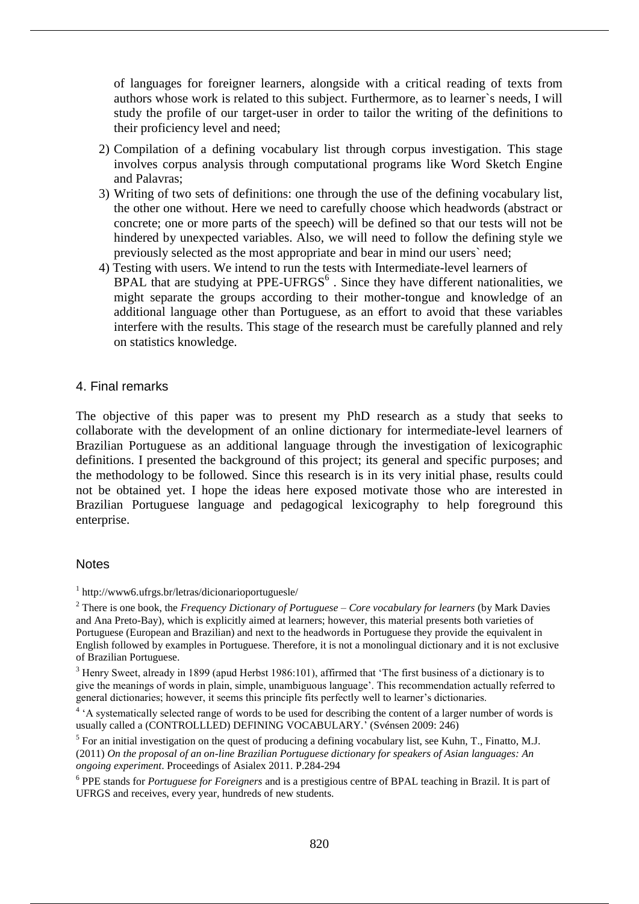of languages for foreigner learners, alongside with a critical reading of texts from authors whose work is related to this subject. Furthermore, as to learner`s needs, I will study the profile of our target-user in order to tailor the writing of the definitions to their proficiency level and need;

- 2) Compilation of a defining vocabulary list through corpus investigation. This stage involves corpus analysis through computational programs like Word Sketch Engine and Palavras;
- 3) Writing of two sets of definitions: one through the use of the defining vocabulary list, the other one without. Here we need to carefully choose which headwords (abstract or concrete; one or more parts of the speech) will be defined so that our tests will not be hindered by unexpected variables. Also, we will need to follow the defining style we previously selected as the most appropriate and bear in mind our users` need;
- 4) Testing with users. We intend to run the tests with Intermediate-level learners of BPAL that are studying at PPE-UFRGS $<sup>6</sup>$ . Since they have different nationalities, we</sup> might separate the groups according to their mother-tongue and knowledge of an additional language other than Portuguese, as an effort to avoid that these variables interfere with the results. This stage of the research must be carefully planned and rely on statistics knowledge.

# 4. Final remarks

The objective of this paper was to present my PhD research as a study that seeks to collaborate with the development of an online dictionary for intermediate-level learners of Brazilian Portuguese as an additional language through the investigation of lexicographic definitions. I presented the background of this project; its general and specific purposes; and the methodology to be followed. Since this research is in its very initial phase, results could not be obtained yet. I hope the ideas here exposed motivate those who are interested in Brazilian Portuguese language and pedagogical lexicography to help foreground this enterprise.

## **Notes**

<sup>3</sup> Henry Sweet, already in 1899 (apud Herbst 1986:101), affirmed that 'The first business of a dictionary is to give the meanings of words in plain, simple, unambiguous language'. This recommendation actually referred to general dictionaries; however, it seems this principle fits perfectly well to learner's dictionaries.

 $<sup>5</sup>$  For an initial investigation on the quest of producing a defining vocabulary list, see Kuhn, T., Finatto, M.J.</sup> (2011) *On the proposal of an on-line Brazilian Portuguese dictionary for speakers of Asian languages: An ongoing experiment*. Proceedings of Asialex 2011. P.284-294

<sup>1</sup> http://www6.ufrgs.br/letras/dicionarioportuguesle/

<sup>2</sup> There is one book, the *Frequency Dictionary of Portuguese – Core vocabulary for learners* (by Mark Davies and Ana Preto-Bay), which is explicitly aimed at learners; however, this material presents both varieties of Portuguese (European and Brazilian) and next to the headwords in Portuguese they provide the equivalent in English followed by examples in Portuguese. Therefore, it is not a monolingual dictionary and it is not exclusive of Brazilian Portuguese.

<sup>&</sup>lt;sup>4</sup> 'A systematically selected range of words to be used for describing the content of a larger number of words is usually called a (CONTROLLLED) DEFINING VOCABULARY.' (Svénsen 2009: 246)

<sup>6</sup> PPE stands for *Portuguese for Foreigners* and is a prestigious centre of BPAL teaching in Brazil. It is part of UFRGS and receives, every year, hundreds of new students.